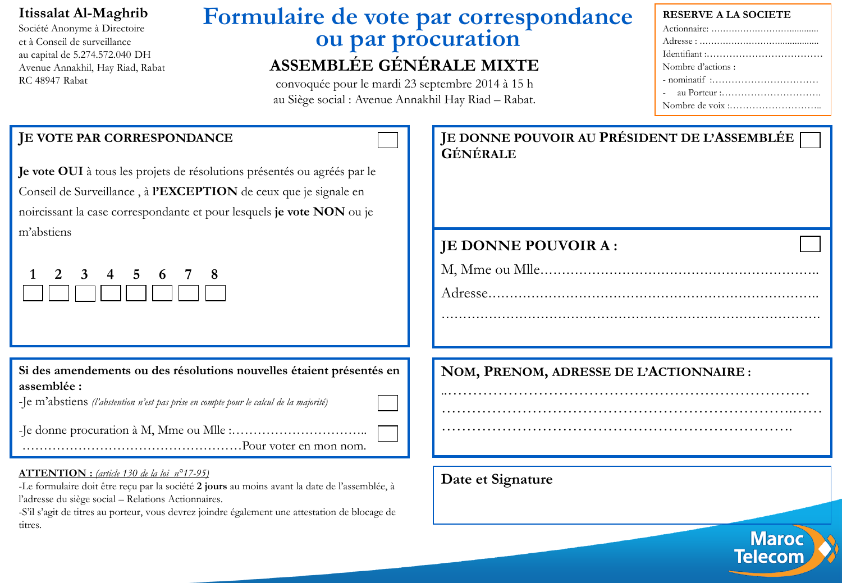### **Itissalat Al-Maghrib**

Société Anonyme à Directoire et à Conseil de surveillance au capital de 5.274.572.040 DH Avenue Annakhil, Hay Riad, Rabat RC 48947 Rabat

## **Formulaire de vote par correspondance ou par procuration ASSEMBLÉE GÉNÉRALE MIXTE**

convoquée pour le mardi 23 septembre 2014 à 15 h au Siège social : Avenue Annakhil Hay Riad – Rabat.

#### **RESERVE A LA SOCIETE**

| Nombre d'actions : |
|--------------------|
|                    |
|                    |
|                    |

**Maroc** Telecom

### **JE VOTE PAR CORRESPONDANCE**

**Je vote OUI** à tous les projets de résolutions présentés ou agréés par le Conseil de Surveillance , à **l'EXCEPTION** de ceux que je signale en noircissant la case correspondante et pour lesquels **je vote NON** ou je m'abstiens

| 1 2 3 4 5 6 7 8 |                 |  |  |  |
|-----------------|-----------------|--|--|--|
|                 | <b>aanaaaaa</b> |  |  |  |

**Si des amendements ou des résolutions nouvelles étaient présentés en assemblée :**

-Je m'abstiens *(l'abstention n'est pas prise en compte pour le calcul de la majorité)*

-Je donne procuration à M, Mme ou Mlle :…………………………..

……………………………………………Pour voter en mon nom.

#### **ATTENTION :** *(article 130 de la loi n°17-95)*

-Le formulaire doit être reçu par la société **2 jours** au moins avant la date de l'assemblée, à l'adresse du siège social – Relations Actionnaires.

-S'il s'agit de titres au porteur, vous devrez joindre également une attestation de blocage de titres.

| JE DONNE POUVOIR AU PRÉSIDENT DE L'ASSEMBLÉE  <br>GÉNÉRALE |  |
|------------------------------------------------------------|--|
| <b>JE DONNE POUVOIR A:</b>                                 |  |
|                                                            |  |
|                                                            |  |
|                                                            |  |
| NOM, PRENOM, ADRESSE DE L'ACTIONNAIRE :                    |  |
|                                                            |  |
|                                                            |  |

**Date et Signature**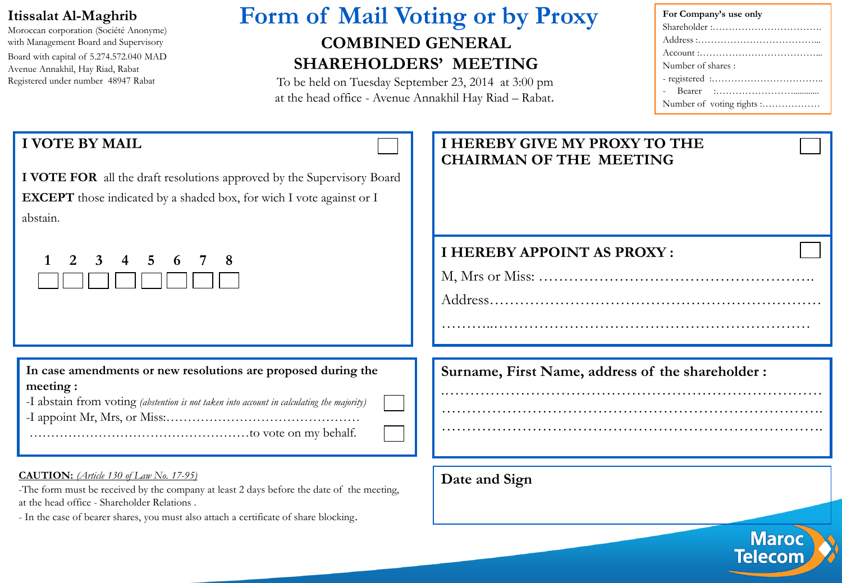### **Itissalat Al-Maghrib**

Moroccan corporation (Société Anonyme) with Management Board and Supervisory Board with capital of 5.274.572.040 MAD Avenue Annakhil, Hay Riad, Rabat Registered under number 48947 Rabat

# **Form of Mail Voting or by Proxy COMBINED GENERAL**

## **SHAREHOLDERS' MEETING**

To be held on Tuesday September 23, 2014 at 3:00 pm at the head office - Avenue Annakhil Hay Riad – Rabat.

| For Company's use only                                                              |
|-------------------------------------------------------------------------------------|
|                                                                                     |
|                                                                                     |
| $Account : \dots \dots \dots \dots \dots \dots \dots \dots \dots \dots \dots \dots$ |
| Number of shares:                                                                   |
|                                                                                     |
|                                                                                     |
|                                                                                     |

### **I VOTE BY MAIL**

**I VOTE FOR** all the draft resolutions approved by the Supervisory Board **EXCEPT** those indicated by a shaded box, for wich I vote against or I abstain.

|  | 2 3 4 5 6 7 8           |  |  |  |
|--|-------------------------|--|--|--|
|  | TI TI TI TI TI TI TI TI |  |  |  |

**In case amendments or new resolutions are proposed during the meeting :**

|  | -I abstain from voting (abstention is not taken into account in calculating the majority) |  |
|--|-------------------------------------------------------------------------------------------|--|
|--|-------------------------------------------------------------------------------------------|--|

-I appoint Mr, Mrs, or Miss:……………………………………… ……………………………………………to vote on my behalf.

#### **CAUTION:** *(Article 130 of Law No. 17-95)*

-The form must be received by the company at least 2 days before the date of the meeting, at the head office - Shareholder Relations .

- In the case of bearer shares, you must also attach a certificate of share blocking.

### **I HEREBY GIVE MY PROXY TO THE CHAIRMAN OF THE MEETING**

### **I HEREBY APPOINT AS PROXY :**

M, Mrs or Miss: ……………………………………………….

………..………………………………………………………

Address…………………………………………………………

.………………………………………………………………… …………………………………………………………………. ………………………………………………………………….

**Surname, First Name, address of the shareholder :**

**Date and Sign**

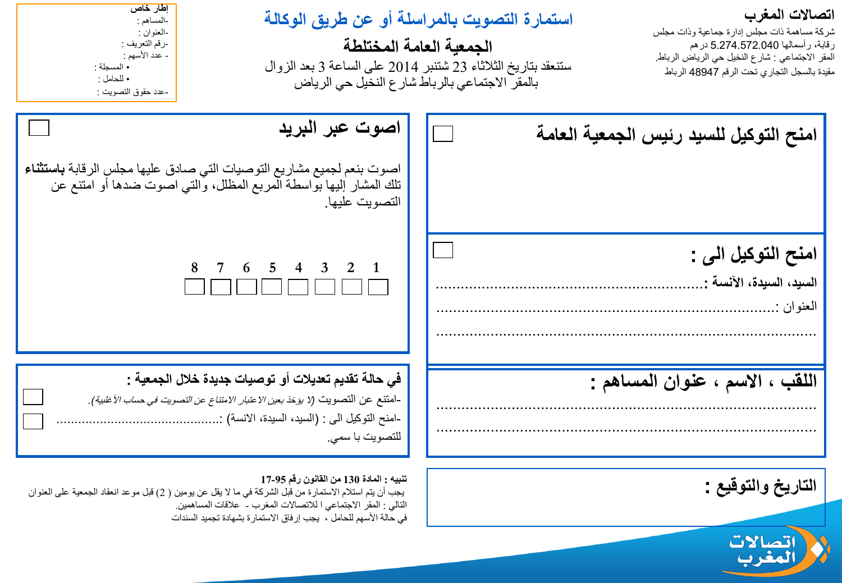### **اتصاالت المغرب**

شركة مساهمة ذات مجلس إدارة جماعية وذات مجلس رقابة، رأسمالها 5.274.572.040 درهم المقر االجتماعي : شارع النخيل حي الرياض الرباط. مقيدة بالسجل التجاري تحت الرقم 48947 الرباط

## **استمارة التصويت بالمراسلة أو عن طريق الوكالة**

**الجمعية العامة المختلطة** ستنعقد بتاريخ الثالثاء 23 شتنبر 2014 على الساعة 3 بعد الزوال بالمقر االجتماعي بالرباط شارع النخيل حي الرياض

**إطار خاص** -المساهم : -العنوان : -رقم التعريف : - عدد الأسهم : • المسجلة : • للحامل : -عدد حقوق التصويت :

| اصوت عبر البريد<br>اصوت بنعم لجميع مشاريع التوصيات التي صادق عليها مجلس الرقابة باستثناء<br>تلك المشار إليها بواسطة المربع المظلل، والتي اصوت ضدها أو امتنع عن<br>التصويت عليها.                                    | امنح التوكيل للسيد رئيس الجمعية العامة                         |
|---------------------------------------------------------------------------------------------------------------------------------------------------------------------------------------------------------------------|----------------------------------------------------------------|
| 8 7 6 5 4 3 2 1                                                                                                                                                                                                     | امنح التوكيل الى :<br>السيد، السيدة، الآنسة :<br>المعنو ان : . |
| في حالة تقديم تعديلات أو توصيات جديدة خلال الجمعية :<br>-امتنع عن التصويت (لا يؤخذ بعي <i>ن الاعتبار الامتناع عن التصويت في حساب الأغلبية)</i> .<br>-امنح التوكيل الى : (السيد، السيدة، الانسة) :<br>للتصويت با سمي | اللقب ، الاسم ، عنوان المساهم :                                |

**التاريخ والتوقيع :**



#### **تنبيه : المادة 130 من القانون رقم 17-95**

يجب أن يتم استلام الاستمارة من قبل الشركة في ما لا يقل عن يومين ( 2) قبل موعد انعقاد الجمعية على العنوان التالي : المقر االجتماعي ا لالتصاالت المغرب - عالقات المساهمين. في حالة الأسهم للحامل ، يجب إرفاق الاستمارة بشهادة تجميد السندات